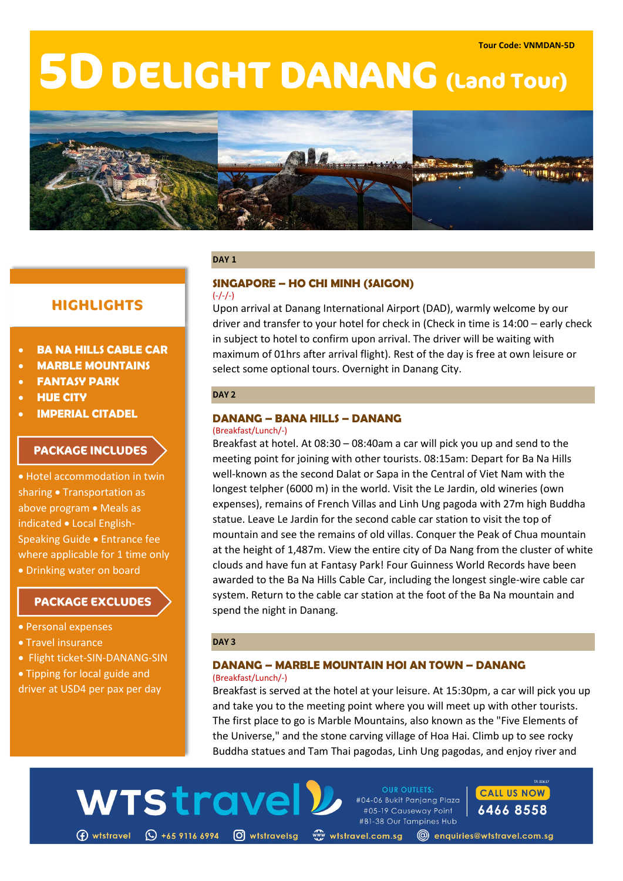# **5DDELIGHT DANANG (Land Tour)**



#### **DAY 1**

# **HIGHLIGHTS**

- **BA NA HILLS CABLE CAR**
- **MARBLE MOUNTAINS**
- **FANTASY PARK**
- **HUE CITY**
- **IMPERIAL CITADEL**

# **PACKAGE INCLUDES**

• Hotel accommodation in twin sharing • Transportation as above program • Meals as indicated • Local English-Speaking Guide • Entrance fee where applicable for 1 time only • Drinking water on board

# **PACKAGE EXCLUDES**

- Personal expenses
- Travel insurance
- Flight ticket-SIN-DANANG-SIN
- Tipping for local guide and

driver at USD4 per pax per day

#### **SINGAPORE – HO CHI MINH (SAIGON)**  $(-/-/-)$

Upon arrival at Danang International Airport (DAD), warmly welcome by our driver and transfer to your hotel for check in (Check in time is 14:00 – early check in subject to hotel to confirm upon arrival. The driver will be waiting with maximum of 01hrs after arrival flight). Rest of the day is free at own leisure or select some optional tours. Overnight in Danang City.

## **DAY 2**

# **DANANG – BANA HILLS – DANANG**

#### (Breakfast/Lunch/-)

Breakfast at hotel. At 08:30 – 08:40am a car will pick you up and send to the meeting point for joining with other tourists. 08:15am: Depart for Ba Na Hills well-known as the second Dalat or Sapa in the Central of Viet Nam with the longest telpher (6000 m) in the world. Visit the Le Jardin, old wineries (own expenses), remains of French Villas and Linh Ung pagoda with 27m high Buddha statue. Leave Le Jardin for the second cable car station to visit the top of mountain and see the remains of old villas. Conquer the Peak of Chua mountain at the height of 1,487m. View the entire city of Da Nang from the cluster of white clouds and have fun at Fantasy Park! Four Guinness World Records have been awarded to the Ba Na Hills Cable Car, including the longest single-wire cable car system. Return to the cable car station at the foot of the Ba Na mountain and spend the night in Danang.

## **DAY 3**

WTStrave

#### **DANANG – MARBLE MOUNTAIN HOI AN TOWN – DANANG** (Breakfast/Lunch/-)

Breakfast is served at the hotel at your leisure. At 15:30pm, a car will pick you up and take you to the meeting point where you will meet up with other tourists. The first place to go is Marble Mountains, also known as the "Five Elements of the Universe," and the stone carving village of Hoa Hai. Climb up to see rocky Buddha statues and Tam Thai pagodas, Linh Ung pagodas, and enjoy river and

**OUR OUTLETS:** 

#04-06 Bukit Panjang Plaza

#05-19 Causeway Point #B1-38 Our Tampines Hub **CALL US NOW** 6466 8558

(f) wtstravel (Q +65 9116 6994 (O) wtstravelsg «www.tstravel.com.sg (@) enquiries@wtstravel.com.sg